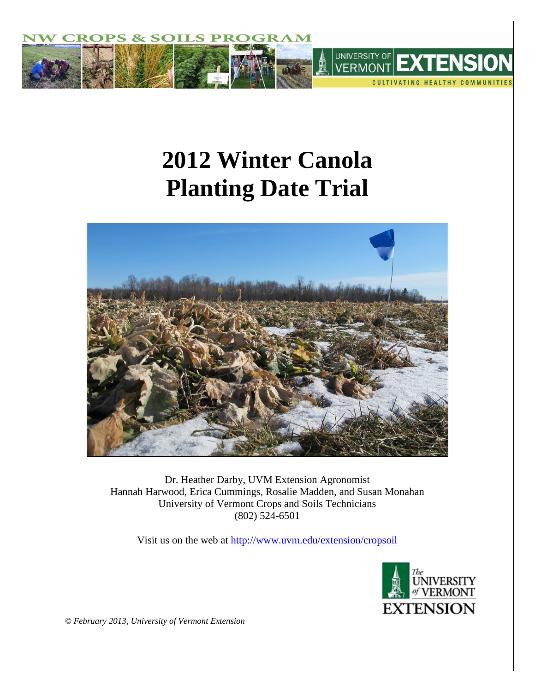

# **2012 Winter Canola Planting Date Trial**



Dr. Heather Darby, UVM Extension Agronomist Hannah Harwood, Erica Cummings, Rosalie Madden, and Susan Monahan University of Vermont Crops and Soils Technicians (802) 524-6501

Visit us on the web at<http://www.uvm.edu/extension/cropsoil>



*© February 2013, University of Vermont Extension*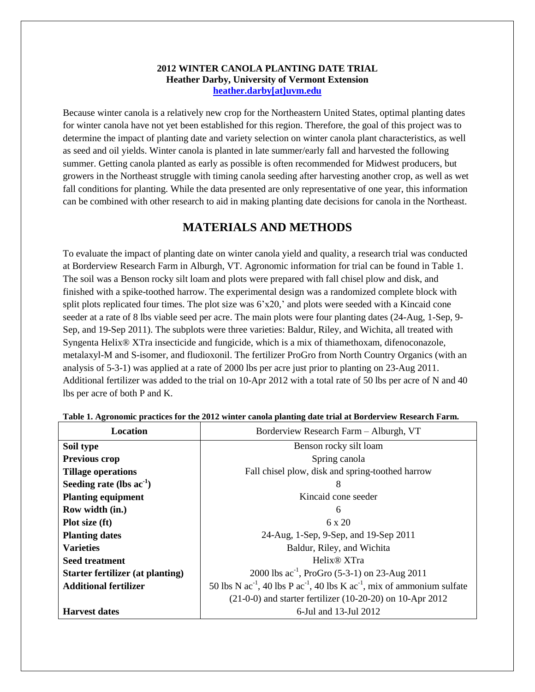## **2012 WINTER CANOLA PLANTING DATE TRIAL Heather Darby, University of Vermont Extension [heather.darby\[at\]uvm.edu](mailto:Heather.Darby@uvm.edu?subject=2012%20Winter%20Canola%20Planting%20Date%20Trial)**

Because winter canola is a relatively new crop for the Northeastern United States, optimal planting dates for winter canola have not yet been established for this region. Therefore, the goal of this project was to determine the impact of planting date and variety selection on winter canola plant characteristics, as well as seed and oil yields. Winter canola is planted in late summer/early fall and harvested the following summer. Getting canola planted as early as possible is often recommended for Midwest producers, but growers in the Northeast struggle with timing canola seeding after harvesting another crop, as well as wet fall conditions for planting. While the data presented are only representative of one year, this information can be combined with other research to aid in making planting date decisions for canola in the Northeast.

# **MATERIALS AND METHODS**

To evaluate the impact of planting date on winter canola yield and quality, a research trial was conducted at Borderview Research Farm in Alburgh, VT. Agronomic information for trial can be found in Table 1. The soil was a Benson rocky silt loam and plots were prepared with fall chisel plow and disk, and finished with a spike-toothed harrow. The experimental design was a randomized complete block with split plots replicated four times. The plot size was  $6'x20$ , and plots were seeded with a Kincaid cone seeder at a rate of 8 lbs viable seed per acre. The main plots were four planting dates (24-Aug, 1-Sep, 9- Sep, and 19-Sep 2011). The subplots were three varieties: Baldur, Riley, and Wichita, all treated with Syngenta Helix® XTra insecticide and fungicide, which is a mix of thiamethoxam, difenoconazole, metalaxyl-M and S-isomer, and fludioxonil. The fertilizer ProGro from North Country Organics (with an analysis of 5-3-1) was applied at a rate of 2000 lbs per acre just prior to planting on 23-Aug 2011. Additional fertilizer was added to the trial on 10-Apr 2012 with a total rate of 50 lbs per acre of N and 40 lbs per acre of both P and K.

| Location                                | Borderview Research Farm - Alburgh, VT                                                 |
|-----------------------------------------|----------------------------------------------------------------------------------------|
| Soil type                               | Benson rocky silt loam                                                                 |
| <b>Previous crop</b>                    | Spring canola                                                                          |
| <b>Tillage operations</b>               | Fall chisel plow, disk and spring-toothed harrow                                       |
| Seeding rate (lbs $ac^{-1}$ )           | 8                                                                                      |
| <b>Planting equipment</b>               | Kincaid cone seeder                                                                    |
| Row width (in.)                         | 6                                                                                      |
| Plot size (ft)                          | 6 x 20                                                                                 |
| <b>Planting dates</b>                   | 24-Aug, 1-Sep, 9-Sep, and 19-Sep 2011                                                  |
| <b>Varieties</b>                        | Baldur, Riley, and Wichita                                                             |
| <b>Seed treatment</b>                   | Helix <sup>®</sup> XTra                                                                |
| <b>Starter fertilizer (at planting)</b> | 2000 lbs $ac^{-1}$ , ProGro (5-3-1) on 23-Aug 2011                                     |
| <b>Additional fertilizer</b>            | 50 lbs N $ac^{-1}$ , 40 lbs P $ac^{-1}$ , 40 lbs K $ac^{-1}$ , mix of ammonium sulfate |
|                                         | $(21-0-0)$ and starter fertilizer $(10-20-20)$ on 10-Apr 2012                          |
| <b>Harvest dates</b>                    | 6-Jul and 13-Jul 2012                                                                  |

**Table 1. Agronomic practices for the 2012 winter canola planting date trial at Borderview Research Farm.**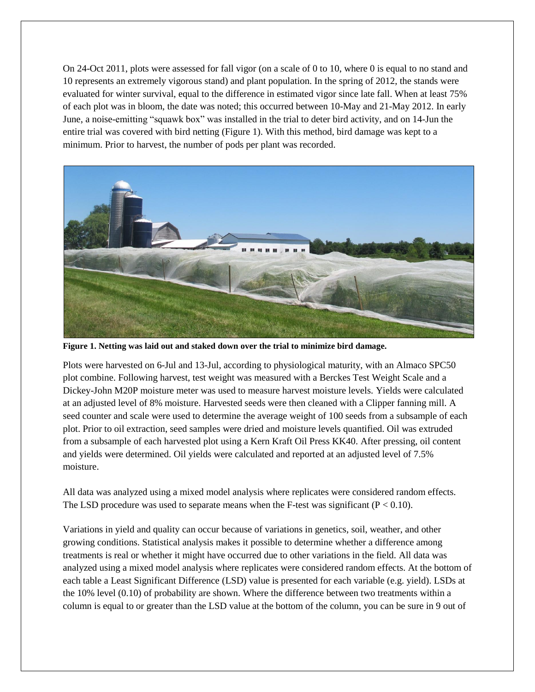On 24-Oct 2011, plots were assessed for fall vigor (on a scale of 0 to 10, where 0 is equal to no stand and 10 represents an extremely vigorous stand) and plant population. In the spring of 2012, the stands were evaluated for winter survival, equal to the difference in estimated vigor since late fall. When at least 75% of each plot was in bloom, the date was noted; this occurred between 10-May and 21-May 2012. In early June, a noise-emitting "squawk box" was installed in the trial to deter bird activity, and on 14-Jun the entire trial was covered with bird netting (Figure 1). With this method, bird damage was kept to a minimum. Prior to harvest, the number of pods per plant was recorded.



**Figure 1. Netting was laid out and staked down over the trial to minimize bird damage.**

Plots were harvested on 6-Jul and 13-Jul, according to physiological maturity, with an Almaco SPC50 plot combine. Following harvest, test weight was measured with a Berckes Test Weight Scale and a Dickey-John M20P moisture meter was used to measure harvest moisture levels. Yields were calculated at an adjusted level of 8% moisture. Harvested seeds were then cleaned with a Clipper fanning mill. A seed counter and scale were used to determine the average weight of 100 seeds from a subsample of each plot. Prior to oil extraction, seed samples were dried and moisture levels quantified. Oil was extruded from a subsample of each harvested plot using a Kern Kraft Oil Press KK40. After pressing, oil content and yields were determined. Oil yields were calculated and reported at an adjusted level of 7.5% moisture.

All data was analyzed using a mixed model analysis where replicates were considered random effects. The LSD procedure was used to separate means when the F-test was significant ( $P < 0.10$ ).

Variations in yield and quality can occur because of variations in genetics, soil, weather, and other growing conditions. Statistical analysis makes it possible to determine whether a difference among treatments is real or whether it might have occurred due to other variations in the field. All data was analyzed using a mixed model analysis where replicates were considered random effects. At the bottom of each table a Least Significant Difference (LSD) value is presented for each variable (e.g. yield). LSDs at the 10% level (0.10) of probability are shown. Where the difference between two treatments within a column is equal to or greater than the LSD value at the bottom of the column, you can be sure in 9 out of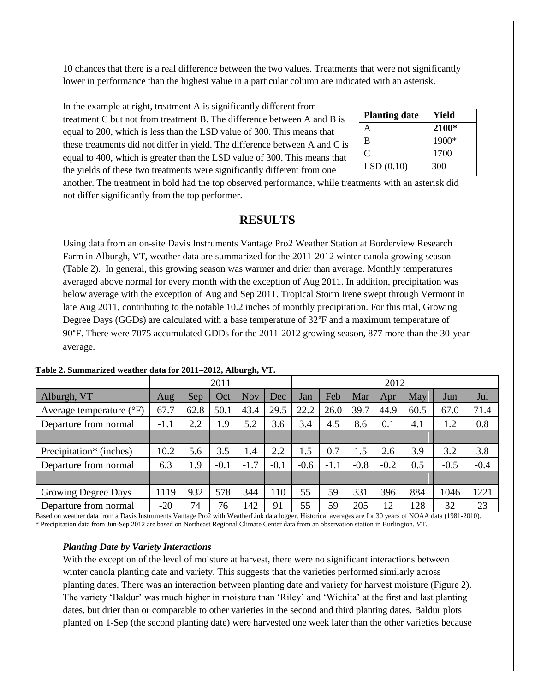10 chances that there is a real difference between the two values. Treatments that were not significantly lower in performance than the highest value in a particular column are indicated with an asterisk.

In the example at right, treatment A is significantly different from treatment C but not from treatment B. The difference between A and B is equal to 200, which is less than the LSD value of 300. This means that these treatments did not differ in yield. The difference between A and C is equal to 400, which is greater than the LSD value of 300. This means that the yields of these two treatments were significantly different from one

| <b>Planting date</b> | Yield |
|----------------------|-------|
| A                    | 2100* |
| B                    | 1900* |
| C                    | 1700  |
| LSD(0.10)            | 300   |

another. The treatment in bold had the top observed performance, while treatments with an asterisk did not differ significantly from the top performer.

# **RESULTS**

Using data from an on-site Davis Instruments Vantage Pro2 Weather Station at Borderview Research Farm in Alburgh, VT, weather data are summarized for the 2011-2012 winter canola growing season (Table 2). In general, this growing season was warmer and drier than average. Monthly temperatures averaged above normal for every month with the exception of Aug 2011. In addition, precipitation was below average with the exception of Aug and Sep 2011. Tropical Storm Irene swept through Vermont in late Aug 2011, contributing to the notable 10.2 inches of monthly precipitation. For this trial, Growing Degree Days (GGDs) are calculated with a base temperature of 32°F and a maximum temperature of 90°F. There were 7075 accumulated GDDs for the 2011-2012 growing season, 877 more than the 30-year average.

|                                     | 2011   |      |        | 2012   |        |        |        |        |        |      |        |        |
|-------------------------------------|--------|------|--------|--------|--------|--------|--------|--------|--------|------|--------|--------|
| Alburgh, VT                         | Aug    | Sep  | Oct    | Nov    | Dec    | Jan    | Feb    | Mar    | Apr    | May  | Jun    | Jul    |
| Average temperature $({}^{\circ}F)$ | 67.7   | 62.8 | 50.1   | 43.4   | 29.5   | 22.2   | 26.0   | 39.7   | 44.9   | 60.5 | 67.0   | 71.4   |
| Departure from normal               | $-1.1$ | 2.2  | 1.9    | 5.2    | 3.6    | 3.4    | 4.5    | 8.6    | 0.1    | 4.1  | 1.2    | 0.8    |
|                                     |        |      |        |        |        |        |        |        |        |      |        |        |
| Precipitation <sup>*</sup> (inches) | 10.2   | 5.6  | 3.5    | 1.4    | 2.2    | 1.5    | 0.7    | 1.5    | 2.6    | 3.9  | 3.2    | 3.8    |
| Departure from normal               | 6.3    | 1.9  | $-0.1$ | $-1.7$ | $-0.1$ | $-0.6$ | $-1.1$ | $-0.8$ | $-0.2$ | 0.5  | $-0.5$ | $-0.4$ |
|                                     |        |      |        |        |        |        |        |        |        |      |        |        |
| Growing Degree Days                 | 1119   | 932  | 578    | 344    | 110    | 55     | 59     | 331    | 396    | 884  | 1046   | 1221   |
| Departure from normal               | $-20$  | 74   | 76     | 142    | 91     | 55     | 59     | 205    | 12     | 128  | 32     | 23     |

#### **Table 2. Summarized weather data for 2011–2012, Alburgh, VT.**

Based on weather data from a Davis Instruments Vantage Pro2 with WeatherLink data logger. Historical averages are for 30 years of NOAA data (1981-2010). \* Precipitation data from Jun-Sep 2012 are based on Northeast Regional Climate Center data from an observation station in Burlington, VT.

#### *Planting Date by Variety Interactions*

With the exception of the level of moisture at harvest, there were no significant interactions between winter canola planting date and variety. This suggests that the varieties performed similarly across planting dates. There was an interaction between planting date and variety for harvest moisture (Figure 2). The variety 'Baldur' was much higher in moisture than 'Riley' and 'Wichita' at the first and last planting dates, but drier than or comparable to other varieties in the second and third planting dates. Baldur plots planted on 1-Sep (the second planting date) were harvested one week later than the other varieties because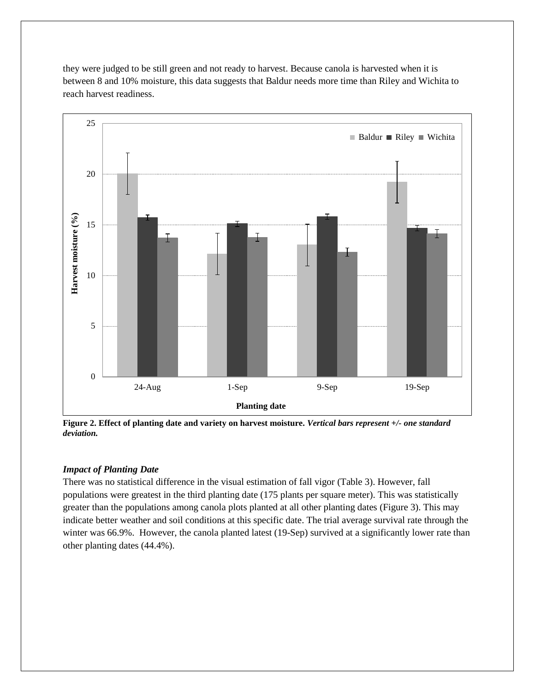they were judged to be still green and not ready to harvest. Because canola is harvested when it is between 8 and 10% moisture, this data suggests that Baldur needs more time than Riley and Wichita to reach harvest readiness.



**Figure 2. Effect of planting date and variety on harvest moisture.** *Vertical bars represent +/- one standard deviation.*

## *Impact of Planting Date*

There was no statistical difference in the visual estimation of fall vigor (Table 3). However, fall populations were greatest in the third planting date (175 plants per square meter). This was statistically greater than the populations among canola plots planted at all other planting dates (Figure 3). This may indicate better weather and soil conditions at this specific date. The trial average survival rate through the winter was 66.9%. However, the canola planted latest (19-Sep) survived at a significantly lower rate than other planting dates (44.4%).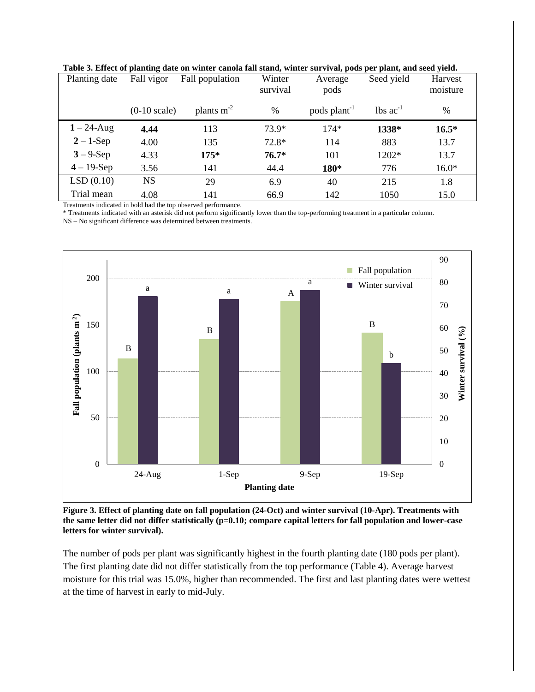| Planting date | Fall vigor             | Fall population | Winter<br>survival | Average<br>pods          | Seed yield                    | <b>Harvest</b><br>moisture |
|---------------|------------------------|-----------------|--------------------|--------------------------|-------------------------------|----------------------------|
|               | $(0-10 \text{ scale})$ | plants $m-2$    | $\%$               | pods plant <sup>-1</sup> | $\text{lbs}$ ac <sup>-1</sup> | $\%$                       |
| $1 - 24$ -Aug | 4.44                   | 113             | $73.9*$            | $174*$                   | 1338*                         | $16.5*$                    |
| $2 - 1$ -Sep  | 4.00                   | 135             | $72.8*$            | 114                      | 883                           | 13.7                       |
| $3 - 9$ -Sep  | 4.33                   | $175*$          | $76.7*$            | 101                      | 1202*                         | 13.7                       |
| $4 - 19$ -Sep | 3.56                   | 141             | 44.4               | 180*                     | 776                           | $16.0*$                    |
| LSD(0.10)     | <b>NS</b>              | 29              | 6.9                | 40                       | 215                           | 1.8                        |
| Trial mean    | 4.08                   | 141             | 66.9               | 142                      | 1050                          | 15.0                       |

**Table 3. Effect of planting date on winter canola fall stand, winter survival, pods per plant, and seed yield.**

Treatments indicated in bold had the top observed performance.

\* Treatments indicated with an asterisk did not perform significantly lower than the top-performing treatment in a particular column.

NS – No significant difference was determined between treatments.



**Figure 3. Effect of planting date on fall population (24-Oct) and winter survival (10-Apr). Treatments with the same letter did not differ statistically (p=0.10; compare capital letters for fall population and lower-case letters for winter survival).**

The number of pods per plant was significantly highest in the fourth planting date (180 pods per plant). The first planting date did not differ statistically from the top performance (Table 4). Average harvest moisture for this trial was 15.0%, higher than recommended. The first and last planting dates were wettest at the time of harvest in early to mid-July.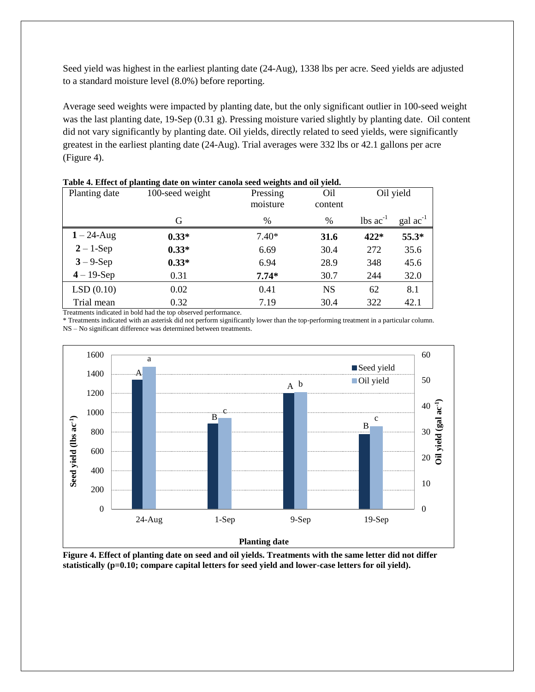Seed yield was highest in the earliest planting date (24-Aug), 1338 lbs per acre. Seed yields are adjusted to a standard moisture level (8.0%) before reporting.

Average seed weights were impacted by planting date, but the only significant outlier in 100-seed weight was the last planting date, 19-Sep (0.31 g). Pressing moisture varied slightly by planting date. Oil content did not vary significantly by planting date. Oil yields, directly related to seed yields, were significantly greatest in the earliest planting date (24-Aug). Trial averages were 332 lbs or 42.1 gallons per acre (Figure 4).

| Planting date | 100-seed weight | Pressing<br>moisture | O <sub>il</sub><br>content |                               | Oil yield            |
|---------------|-----------------|----------------------|----------------------------|-------------------------------|----------------------|
|               | G               | $\%$                 | $\%$                       | $\text{lbs}$ ac <sup>-1</sup> | $\text{gal ac}^{-1}$ |
| $1 - 24$ -Aug | $0.33*$         | $7.40*$              | 31.6                       | $422*$                        | 55.3*                |
| $2 - 1$ -Sep  | $0.33*$         | 6.69                 | 30.4                       | 272                           | 35.6                 |
| $3 - 9 - Sep$ | $0.33*$         | 6.94                 | 28.9                       | 348                           | 45.6                 |
| $4 - 19$ -Sep | 0.31            | $7.74*$              | 30.7                       | 244                           | 32.0                 |
| LSD(0.10)     | 0.02            | 0.41                 | <b>NS</b>                  | 62                            | 8.1                  |
| Trial mean    | 0.32            | 7.19                 | 30.4                       | 322                           | 42.1                 |

**Table 4. Effect of planting date on winter canola seed weights and oil yield.**

Treatments indicated in bold had the top observed performance.

\* Treatments indicated with an asterisk did not perform significantly lower than the top-performing treatment in a particular column. NS – No significant difference was determined between treatments.



**Figure 4. Effect of planting date on seed and oil yields. Treatments with the same letter did not differ statistically (p=0.10; compare capital letters for seed yield and lower-case letters for oil yield).**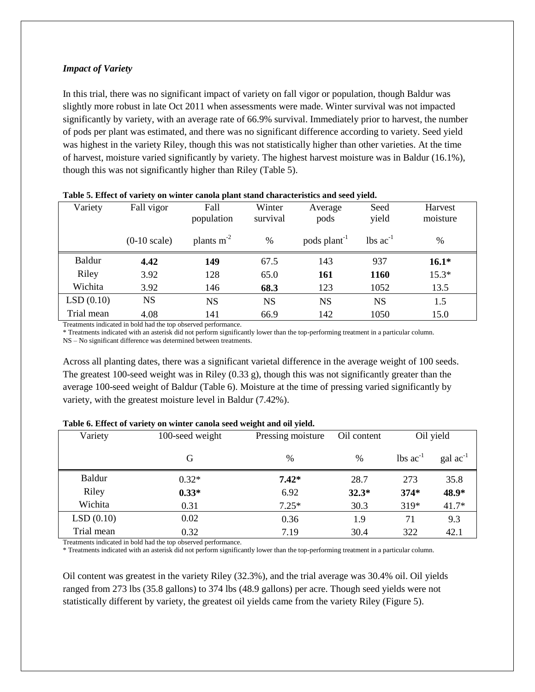## *Impact of Variety*

In this trial, there was no significant impact of variety on fall vigor or population, though Baldur was slightly more robust in late Oct 2011 when assessments were made. Winter survival was not impacted significantly by variety, with an average rate of 66.9% survival. Immediately prior to harvest, the number of pods per plant was estimated, and there was no significant difference according to variety. Seed yield was highest in the variety Riley, though this was not statistically higher than other varieties. At the time of harvest, moisture varied significantly by variety. The highest harvest moisture was in Baldur (16.1%), though this was not significantly higher than Riley (Table 5).

| Variety    | Fall vigor             | Fall            | Winter    | Average                  | Seed                          | Harvest  |
|------------|------------------------|-----------------|-----------|--------------------------|-------------------------------|----------|
|            |                        | population      | survival  | pods                     | yield                         | moisture |
|            | $(0-10 \text{ scale})$ | plants $m^{-2}$ | $\%$      | pods plant <sup>-1</sup> | $\text{lbs}$ ac <sup>-1</sup> | $\%$     |
| Baldur     | 4.42                   | 149             | 67.5      | 143                      | 937                           | $16.1*$  |
| Riley      | 3.92                   | 128             | 65.0      | 161                      | 1160                          | $15.3*$  |
| Wichita    | 3.92                   | 146             | 68.3      | 123                      | 1052                          | 13.5     |
| LSD(0.10)  | NS                     | <b>NS</b>       | <b>NS</b> | <b>NS</b>                | <b>NS</b>                     | 1.5      |
| Trial mean | 4.08                   | 141             | 66.9      | 142                      | 1050                          | 15.0     |

#### **Table 5. Effect of variety on winter canola plant stand characteristics and seed yield.**

Treatments indicated in bold had the top observed performance.

\* Treatments indicated with an asterisk did not perform significantly lower than the top-performing treatment in a particular column.

NS – No significant difference was determined between treatments.

Across all planting dates, there was a significant varietal difference in the average weight of 100 seeds. The greatest 100-seed weight was in Riley (0.33 g), though this was not significantly greater than the average 100-seed weight of Baldur (Table 6). Moisture at the time of pressing varied significantly by variety, with the greatest moisture level in Baldur (7.42%).

| Variety    | 100-seed weight | Pressing moisture | Oil content   | Oil yield                     |                      |
|------------|-----------------|-------------------|---------------|-------------------------------|----------------------|
|            | G               | $\frac{0}{0}$     | $\frac{0}{0}$ | $\text{lbs}$ ac <sup>-1</sup> | $\text{gal ac}^{-1}$ |
| Baldur     | $0.32*$         | $7.42*$           | 28.7          | 273                           | 35.8                 |
| Riley      | $0.33*$         | 6.92              | $32.3*$       | $374*$                        | 48.9*                |
| Wichita    | 0.31            | $7.25*$           | 30.3          | 319*                          | $41.7*$              |
| LSD(0.10)  | 0.02            | 0.36              | 1.9           | 71                            | 9.3                  |
| Trial mean | 0.32            | 7.19              | 30.4          | 322                           | 42.1                 |

#### **Table 6. Effect of variety on winter canola seed weight and oil yield.**

Treatments indicated in bold had the top observed performance.

\* Treatments indicated with an asterisk did not perform significantly lower than the top-performing treatment in a particular column.

Oil content was greatest in the variety Riley (32.3%), and the trial average was 30.4% oil. Oil yields ranged from 273 lbs (35.8 gallons) to 374 lbs (48.9 gallons) per acre. Though seed yields were not statistically different by variety, the greatest oil yields came from the variety Riley (Figure 5).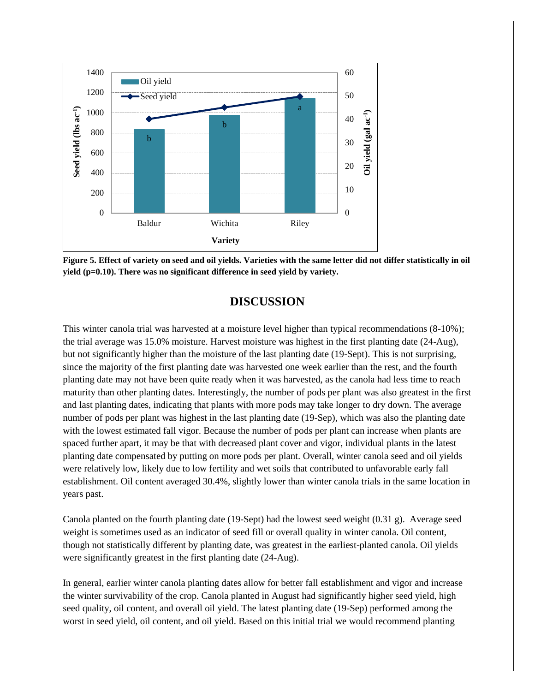

**Figure 5. Effect of variety on seed and oil yields. Varieties with the same letter did not differ statistically in oil yield (p=0.10). There was no significant difference in seed yield by variety.**

## **DISCUSSION**

This winter canola trial was harvested at a moisture level higher than typical recommendations (8-10%); the trial average was 15.0% moisture. Harvest moisture was highest in the first planting date (24-Aug), but not significantly higher than the moisture of the last planting date (19-Sept). This is not surprising, since the majority of the first planting date was harvested one week earlier than the rest, and the fourth planting date may not have been quite ready when it was harvested, as the canola had less time to reach maturity than other planting dates. Interestingly, the number of pods per plant was also greatest in the first and last planting dates, indicating that plants with more pods may take longer to dry down. The average number of pods per plant was highest in the last planting date (19-Sep), which was also the planting date with the lowest estimated fall vigor. Because the number of pods per plant can increase when plants are spaced further apart, it may be that with decreased plant cover and vigor, individual plants in the latest planting date compensated by putting on more pods per plant. Overall, winter canola seed and oil yields were relatively low, likely due to low fertility and wet soils that contributed to unfavorable early fall establishment. Oil content averaged 30.4%, slightly lower than winter canola trials in the same location in years past.

Canola planted on the fourth planting date (19-Sept) had the lowest seed weight (0.31 g). Average seed weight is sometimes used as an indicator of seed fill or overall quality in winter canola. Oil content, though not statistically different by planting date, was greatest in the earliest-planted canola. Oil yields were significantly greatest in the first planting date (24-Aug).

In general, earlier winter canola planting dates allow for better fall establishment and vigor and increase the winter survivability of the crop. Canola planted in August had significantly higher seed yield, high seed quality, oil content, and overall oil yield. The latest planting date (19-Sep) performed among the worst in seed yield, oil content, and oil yield. Based on this initial trial we would recommend planting